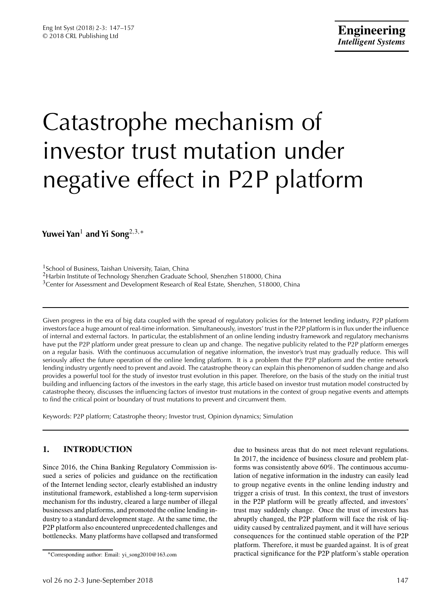# Catastrophe mechanism of investor trust mutation under negative effect in P2P platform

**Yuwei Yan**<sup>1</sup> **and Yi Song**2,3,<sup>∗</sup>

<sup>1</sup>School of Business, Taishan University, Taian, China <sup>2</sup>Harbin Institute of Technology Shenzhen Graduate School, Shenzhen 518000, China <sup>3</sup>Center for Assessment and Development Research of Real Estate, Shenzhen, 518000, China

Given progress in the era of big data coupled with the spread of regulatory policies for the Internet lending industry, P2P platform investors face a huge amount of real-time information. Simultaneously, investors' trust in the P2P platform is in flux under the influence of internal and external factors. In particular, the establishment of an online lending industry framework and regulatory mechanisms have put the P2P platform under great pressure to clean up and change. The negative publicity related to the P2P platform emerges on a regular basis. With the continuous accumulation of negative information, the investor's trust may gradually reduce. This will seriously affect the future operation of the online lending platform. It is a problem that the P2P platform and the entire network lending industry urgently need to prevent and avoid. The catastrophe theory can explain this phenomenon of sudden change and also provides a powerful tool for the study of investor trust evolution in this paper. Therefore, on the basis of the study on the initial trust building and influencing factors of the investors in the early stage, this article based on investor trust mutation model constructed by catastrophe theory, discusses the influencing factors of investor trust mutations in the context of group negative events and attempts to find the critical point or boundary of trust mutations to prevent and circumvent them.

Keywords: P2P platform; Catastrophe theory; Investor trust, Opinion dynamics; Simulation

# **1. INTRODUCTION**

Since 2016, the China Banking Regulatory Commission issued a series of policies and guidance on the rectification of the Internet lending sector, clearly established an industry institutional framework, established a long-term supervision mechanism for ths industry, cleared a large number of illegal businesses and platforms, and promoted the online lending industry to a standard development stage. At the same time, the P2P platform also encountered unprecedented challenges and bottlenecks. Many platforms have collapsed and transformed due to business areas that do not meet relevant regulations. In 2017, the incidence of business closure and problem platforms was consistently above 60%. The continuous accumulation of negative information in the industry can easily lead to group negative events in the online lending industry and trigger a crisis of trust. In this context, the trust of investors in the P2P platform will be greatly affected, and investors' trust may suddenly change. Once the trust of investors has abruptly changed, the P2P platform will face the risk of liquidity caused by centralized payment, and it will have serious consequences for the continued stable operation of the P2P platform. Therefore, it must be guarded against. It is of great practical significance for the P2P platform's stable operation

<sup>∗</sup>Corresponding author: Email: yi\_song2010@163.com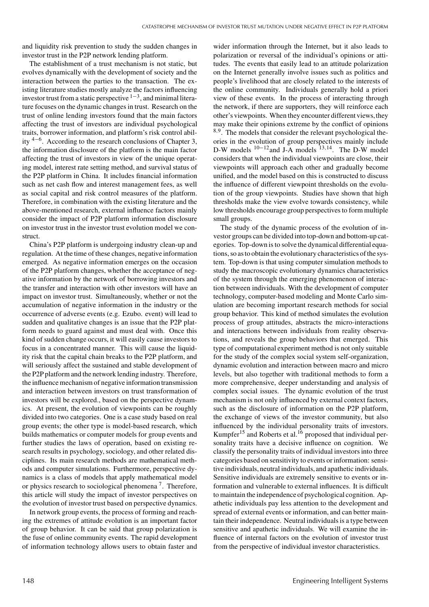and liquidity risk prevention to study the sudden changes in investor trust in the P2P network lending platform.

The establishment of a trust mechanism is not static, but evolves dynamically with the development of society and the interaction between the parties to the transaction. The existing literature studies mostly analyze the factors influencing investor trust from a static perspective  $1-3$ , and minimal literature focuses on the dynamic changes in trust. Research on the trust of online lending investors found that the main factors affecting the trust of investors are individual psychological traits, borrower information, and platform's risk control ability  $4-6$ . According to the research conclusions of Chapter 3, the information disclosure of the platform is the main factor affecting the trust of investors in view of the unique operating model, interest rate setting method, and survival status of the P2P platform in China. It includes financial information such as net cash flow and interest management fees, as well as social capital and risk control measures of the platform. Therefore, in combination with the existing literature and the above-mentioned research, external influence factors mainly consider the impact of P2P platform information disclosure on investor trust in the investor trust evolution model we construct.

China's P2P platform is undergoing industry clean-up and regulation. At the time of these changes, negative information emerged. As negative information emerges on the occasion of the P2P platform changes, whether the acceptance of negative information by the network of borrowing investors and the transfer and interaction with other investors will have an impact on investor trust. Simultaneously, whether or not the accumulation of negative information in the industry or the occurrence of adverse events (e.g. Ezubo. event) will lead to sudden and qualitative changes is an issue that the P2P platform needs to guard against and must deal with. Once this kind of sudden change occurs, it will easily cause investors to focus in a concentrated manner. This will cause the liquidity risk that the capital chain breaks to the P2P platform, and will seriously affect the sustained and stable development of the P2P platform and the network lending industry. Therefore, the influence mechanism of negative information transmission and interaction between investors on trust transformation of investors will be explored., based on the perspective dynamics. At present, the evolution of viewpoints can be roughly divided into two categories. One is a case study based on real group events; the other type is model-based research, which builds mathematics or computer models for group events and further studies the laws of operation, based on existing research results in psychology, sociology, and other related disciplines. Its main research methods are mathematical methods and computer simulations. Furthermore, perspective dynamics is a class of models that apply mathematical model or physics research to sociological phenomena 7. Therefore, this article will study the impact of investor perspectives on the evolution of investor trust based on perspective dynamics.

In network group events, the process of forming and reaching the extremes of attitude evolution is an important factor of group behavior. It can be said that group polarization is the fuse of online community events. The rapid development of information technology allows users to obtain faster and wider information through the Internet, but it also leads to polarization or reversal of the individual's opinions or attitudes. The events that easily lead to an attitude polarization on the Internet generally involve issues such as politics and people's livelihood that are closely related to the interests of the online community. Individuals generally hold a priori view of these events. In the process of interacting through the network, if there are supporters, they will reinforce each other's viewpoints. When they encounter different views,they may make their opinions extreme by the conflict of opinions 8,9. The models that consider the relevant psychological theories in the evolution of group perspectives mainly include D-W models  $10^{-12}$  and J-A models  $13,14$ . The D-W model considers that when the individual viewpoints are close, their viewpoints will approach each other and gradually become unified, and the model based on this is constructed to discuss the influence of different viewpoint thresholds on the evolution of the group viewpoints. Studies have shown that high thresholds make the view evolve towards consistency, while low thresholds encourage group perspectives to form multiple small groups.

The study of the dynamic process of the evolution of investor groups can be divided into top-down and bottom-up categories. Top-down is to solve the dynamical differential equations, so as to obtain the evolutionary characteristics of the system. Top-down is that using computer simulation methods to study the macroscopic evolutionary dynamics characteristics of the system through the emerging phenomenon of interaction between individuals. With the development of computer technology, computer-based modeling and Monte Carlo simulation are becoming important research methods for social group behavior. This kind of method simulates the evolution process of group attitudes, abstracts the micro-interactions and interactions between individuals from reality observations, and reveals the group behaviors that emerged. This type of computational experiment method is not only suitable for the study of the complex social system self-organization, dynamic evolution and interaction between macro and micro levels, but also together with traditional methods to form a more comprehensive, deeper understanding and analysis of complex social issues. The dynamic evolution of the trust mechanism is not only influenced by external context factors, such as the disclosure of information on the P2P platform, the exchange of views of the investor community, but also influenced by the individual personality traits of investors. Kumpfer<sup>15</sup> and Roberts et al.<sup>16</sup> proposed that individual personality traits have a decisive influence on cognition. We classify the personality traits of individual investors into three categories based on sensitivity to events or information: sensitive individuals, neutral individuals, and apathetic individuals. Sensitive individuals are extremely sensitive to events or information and vulnerable to external influences. It is difficult to maintain the independence of psychological cognition. Apathetic individuals pay less attention to the development and spread of external events or information, and can better maintain their independence. Neutral individuals is a type between sensitive and apathetic individuals. We will examine the influence of internal factors on the evolution of investor trust from the perspective of individual investor characteristics.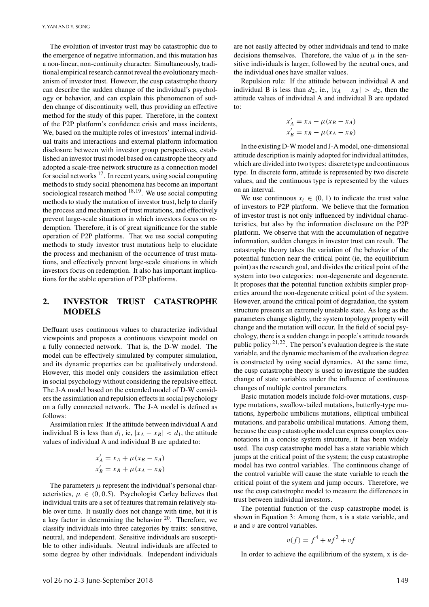The evolution of investor trust may be catastrophic due to the emergence of negative information, and this mutation has a non-linear, non-continuity character. Simultaneously, traditional empirical research cannot reveal the evolutionary mechanism of investor trust. However, the cusp catastrophe theory can describe the sudden change of the individual's psychology or behavior, and can explain this phenomenon of sudden change of discontinuity well, thus providing an effective method for the study of this paper. Therefore, in the context of the P2P platform's confidence crisis and mass incidents, We, based on the multiple roles of investors' internal individual traits and interactions and external platform information disclosure between with investor group perspectives, established an investor trust model based on catastrophe theory and adopted a scale-free network structure as a connection model for social networks  $17$ . In recent years, using social computing methods to study social phenomena has become an important sociological research method  $18,19$ . We use social computing methods to study the mutation of investor trust, help to clarify the process and mechanism of trust mutations, and effectively prevent large-scale situations in which investors focus on redemption. Therefore, it is of great significance for the stable operation of P2P platforms. That we use social computing methods to study investor trust mutations help to elucidate the process and mechanism of the occurrence of trust mutations, and effectively prevent large-scale situations in which investors focus on redemption. It also has important implications for the stable operation of P2P platforms.

#### **2. INVESTOR TRUST CATASTROPHE MODELS**

Deffuant uses continuous values to characterize individual viewpoints and proposes a continuous viewpoint model on a fully connected network. That is, the D-W model. The model can be effectively simulated by computer simulation, and its dynamic properties can be qualitatively understood. However, this model only considers the assimilation effect in social psychology without considering the repulsive effect. The J-A model based on the extended model of D-W considers the assimilation and repulsion effects in social psychology on a fully connected network. The J-A model is defined as follows:

Assimilation rules: If the attitude between individual A and individual B is less than  $d_1$ , ie,  $|x_A - x_B| < d_1$ , the attitude values of individual A and individual B are updated to:

$$
x'_{A} = x_{A} + \mu(x_{B} - x_{A})
$$
  

$$
x'_{B} = x_{B} + \mu(x_{A} - x_{B})
$$

The parameters  $\mu$  represent the individual's personal characteristics,  $\mu \in (0, 0.5)$ . Psychologist Carley believes that individual traits are a set of features that remain relatively stable over time. It usually does not change with time, but it is a key factor in determining the behavior  $20$ . Therefore, we classify individuals into three categories by traits: sensitive, neutral, and independent. Sensitive individuals are susceptible to other individuals. Neutral individuals are affected to some degree by other individuals. Independent individuals are not easily affected by other individuals and tend to make decisions themselves. Therefore, the value of  $\mu$  in the sensitive individuals is larger, followed by the neutral ones, and the individual ones have smaller values.

Repulsion rule: If the attitude between individual A and individual B is less than  $d_2$ , ie.,  $|x_A - x_B| > d_2$ , then the attitude values of individual A and individual B are updated to:

$$
x'_{A} = x_{A} - \mu(x_{B} - x_{A})
$$
  

$$
x'_{B} = x_{B} - \mu(x_{A} - x_{B})
$$

In the existing D-W model and J-A model, one-dimensional attitude description is mainly adopted for individual attitudes, which are divided into two types: discrete type and continuous type. In discrete form, attitude is represented by two discrete values, and the continuous type is represented by the values on an interval.

We use continuous  $x_i \in (0, 1)$  to indicate the trust value of investors to P2P platform. We believe that the formation of investor trust is not only influenced by individual characteristics, but also by the information disclosure on the P2P platform. We observe that with the accumulation of negative information, sudden changes in investor trust can result. The catastrophe theory takes the variation of the behavior of the potential function near the critical point (ie, the equilibrium point) as the research goal, and divides the critical point of the system into two categories: non-degenerate and degenerate. It proposes that the potential function exhibits simpler properties around the non-degenerate critical point of the system. However, around the critical point of degradation, the system structure presents an extremely unstable state. As long as the parameters change slightly, the system topology property will change and the mutation will occur. In the field of social psychology, there is a sudden change in people's attitude towards public policy  $2^{1,22}$ . The person's evaluation degree is the state variable, and the dynamic mechanism of the evaluation degree is constructed by using social dynamics. At the same time, the cusp catastrophe theory is used to investigate the sudden change of state variables under the influence of continuous changes of multiple control parameters.

Basic mutation models include fold-over mutations, cusptype mutations, swallow-tailed mutations, butterfly-type mutations, hyperbolic umbilicus mutations, elliptical umbilical mutations, and parabolic umbilical mutations. Among them, because the cusp catastrophe model can express complex connotations in a concise system structure, it has been widely used. The cusp catastrophe model has a state variable which jumps at the critical point of the system; the cusp catastrophe model has two control variables. The continuous change of the control variable will cause the state variable to reach the critical point of the system and jump occurs. Therefore, we use the cusp catastrophe model to measure the differences in trust between individual investors.

The potential function of the cusp catastrophe model is shown in Equation 3: Among them, x is a state variable, and *u* and v are control variables.

$$
v(f) = f^4 + uf^2 + vf
$$

In order to achieve the equilibrium of the system, x is de-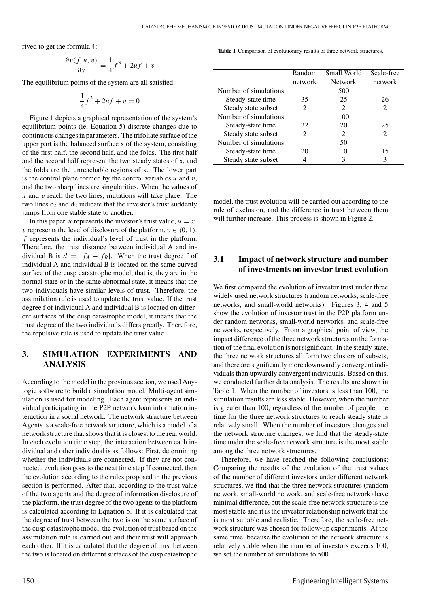rived to get the formula 4:

$$
\frac{\partial v(f, u, v)}{\partial x} = \frac{1}{4}f^3 + 2uf + v
$$

The equilibrium points of the system are all satisfied:

$$
\frac{1}{4}f^3 + 2uf + v = 0
$$

Figure 1 depicts a graphical representation of the system's equilibrium points (ie, Equation 5) discrete changes due to continuous changes in parameters. The trifoliate surface of the upper part is the balanced surface x of the system, consisting of the first half, the second half, and the folds. The first half and the second half represent the two steady states of x, and the folds are the unreachable regions of x. The lower part is the control plane formed by the control variables  $u$  and  $v$ , and the two sharp lines are singularities. When the values of *u* and v reach the two lines, mutations will take place. The two lines  $c_2$  and  $d_2$  indicate that the investor's trust suddenly jumps from one stable state to another.

In this paper, *u* represents the investor's trust value,  $u = x$ . v represents the level of disclosure of the platform,  $v \in (0, 1)$ . *f* represents the individual's level of trust in the platform. Therefore, the trust distance between individual A and individual B is  $d = |f_A - f_B|$ . When the trust degree f of individual A and individual B is located on the same curved surface of the cusp catastrophe model, that is, they are in the normal state or in the same abnormal state, it means that the two individuals have similar levels of trust. Therefore, the assimilation rule is used to update the trust value. If the trust degree f of individual A and individual B is located on different surfaces of the cusp catastrophe model, it means that the trust degree of the two individuals differs greatly. Therefore, the repulsive rule is used to update the trust value.

## **3. SIMULATION EXPERIMENTS AND ANALYSIS**

According to the model in the previous section, we used Anylogic software to build a simulation model. Multi-agent simulation is used for modeling. Each agent represents an individual participating in the P2P network loan information interaction in a social network. The network structure between Agents is a scale-free network structure, which is a model of a network structure that shows that it is closest to the real world. In each evolution time step, the interaction between each individual and other individual is as follows: First, determining whether the individuals are connected. If they are not connected, evolution goes to the next time step If connected, then the evolution according to the rules proposed in the previous section is performed. After that, according to the trust value of the two agents and the degree of information disclosure of the platform, the trust degree of the two agents to the platform is calculated according to Equation 5. If it is calculated that the degree of trust between the two is on the same surface of the cusp catastrophe model, the evolution of trust based on the assimilation rule is carried out and their trust will approach each other. If it is calculated that the degree of trust between the two is located on different surfaces of the cusp catastrophe **Table 1** Comparison of evolutionary results of three network structures.

|                       | Random                      | Small World                 | Scale-free                  |
|-----------------------|-----------------------------|-----------------------------|-----------------------------|
|                       | network                     | Network                     | network                     |
| Number of simulations |                             | 500                         |                             |
| Steady-state time     | 35                          | 25                          | 26                          |
| Steady state subset   | $\mathcal{D}_{\mathcal{L}}$ | $\mathcal{D}_{\mathcal{L}}$ | $\mathfrak{D}$              |
| Number of simulations |                             | 100                         |                             |
| Steady-state time     | 32                          | 20                          | 25                          |
| Steady state subset   | $\mathfrak{D}$              | $\mathcal{D}_{\mathcal{L}}$ | $\mathcal{D}_{\mathcal{L}}$ |
| Number of simulations |                             | 50                          |                             |
| Steady-state time     | 20                          | 10                          | 15                          |
| Steady state subset   |                             |                             |                             |

model, the trust evolution will be carried out according to the rule of exclusion, and the difference in trust between them will further increase. This process is shown in Figure 2.

#### **3.1 Impact of network structure and number of investments on investor trust evolution**

We first compared the evolution of investor trust under three widely used network structures (random networks, scale-free networks, and small-world networks). Figures 3, 4 and 5 show the evolution of investor trust in the P2P platform under random networks, small-world networks, and scale-free networks, respectively. From a graphical point of view, the impact difference of the three network structures on the formation of the final evolution is not significant. In the steady state, the three network structures all form two clusters of subsets, and there are significantly more downwardly convergent individuals than upwardly convergent individuals. Based on this, we conducted further data analysis. The results are shown in Table 1. When the number of investors is less than 100, the simulation results are less stable. However, when the number is greater than 100, regardless of the number of people, the time for the three network structures to reach steady state is relatively small. When the number of investors changes and the network structure changes, we find that the steady-state time under the scale-free network structure is the most stable among the three network structures.

Therefore, we have reached the following conclusions: Comparing the results of the evolution of the trust values of the number of different investors under different network structures, we find that the three network structures (random network, small-world network, and scale-free network) have minimal difference, but the scale-free network structure is the most stable and it is the investor relationship network that the is most suitable and realistic. Therefore, the scale-free network structure was chosen for follow-up experiments. At the same time, because the evolution of the network structure is relatively stable when the number of investors exceeds 100, we set the number of simulations to 500.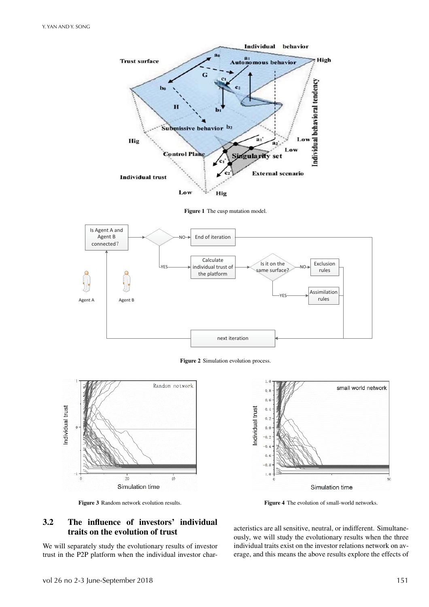

**Figure 1** The cusp mutation model.



**Figure 2** Simulation evolution process.







**Figure 4** The evolution of small-world networks.

# **3.2 The influence of investors' individual traits on the evolution of trust**

We will separately study the evolutionary results of investor trust in the P2P platform when the individual investor characteristics are all sensitive, neutral, or indifferent. Simultaneously, we will study the evolutionary results when the three individual traits exist on the investor relations network on average, and this means the above results explore the effects of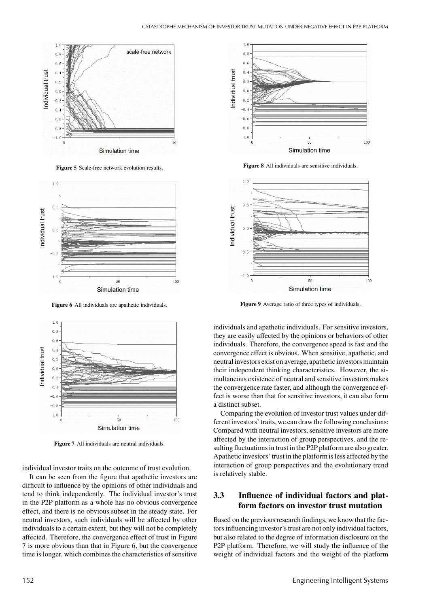

**Figure 5** Scale-free network evolution results.



**Figure 6** All individuals are apathetic individuals.



**Figure 7** All individuals are neutral individuals.

individual investor traits on the outcome of trust evolution.

It can be seen from the figure that apathetic investors are difficult to influence by the opinions of other individuals and tend to think independently. The individual investor's trust in the P2P platform as a whole has no obvious convergence effect, and there is no obvious subset in the steady state. For neutral investors, such individuals will be affected by other individuals to a certain extent, but they will not be completely affected. Therefore, the convergence effect of trust in Figure 7 is more obvious than that in Figure 6, but the convergence time is longer, which combines the characteristics of sensitive



**Figure 8** All individuals are sensitive individuals.



**Figure 9** Average ratio of three types of individuals.

individuals and apathetic individuals. For sensitive investors, they are easily affected by the opinions or behaviors of other individuals. Therefore, the convergence speed is fast and the convergence effect is obvious. When sensitive, apathetic, and neutral investors exist on average, apathetic investors maintain their independent thinking characteristics. However, the simultaneous existence of neutral and sensitive investors makes the convergence rate faster, and although the convergence effect is worse than that for sensitive investors, it can also form a distinct subset.

Comparing the evolution of investor trust values under different investors' traits, we can draw the following conclusions: Compared with neutral investors, sensitive investors are more affected by the interaction of group perspectives, and the resulting fluctuations in trust in the P2P platform are also greater. Apathetic investors' trust in the platform is less affected by the interaction of group perspectives and the evolutionary trend is relatively stable.

# **3.3 Influence of individual factors and platform factors on investor trust mutation**

Based on the previous research findings, we know that the factors influencing investor's trust are not only individual factors, but also related to the degree of information disclosure on the P2P platform. Therefore, we will study the influence of the weight of individual factors and the weight of the platform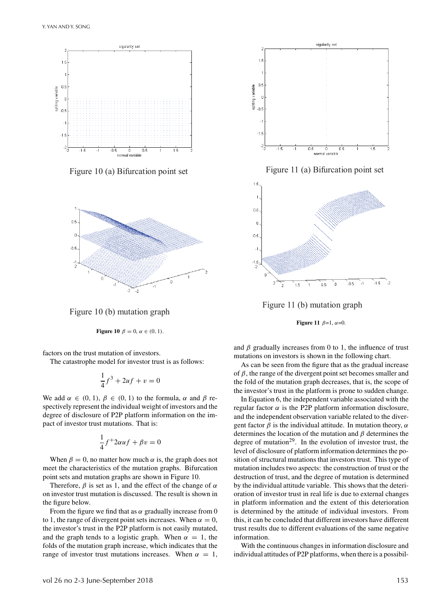

Figure 10 (a) Bifurcation point set



Figure 10 (b) mutation graph

**Figure 10**  $\beta = 0, \alpha \in (0, 1)$ .

factors on the trust mutation of investors.

The catastrophe model for investor trust is as follows:

$$
\frac{1}{4}f^3 + 2uf + v = 0
$$

We add  $\alpha \in (0, 1), \beta \in (0, 1)$  to the formula,  $\alpha$  and  $\beta$  respectively represent the individual weight of investors and the degree of disclosure of P2P platform information on the impact of investor trust mutations. That is:

$$
\frac{1}{4}f^+2\alpha uf + \beta v = 0
$$

When  $\beta = 0$ , no matter how much  $\alpha$  is, the graph does not meet the characteristics of the mutation graphs. Bifurcation point sets and mutation graphs are shown in Figure 10.

Therefore,  $\beta$  is set as 1, and the effect of the change of  $\alpha$ on investor trust mutation is discussed. The result is shown in the figure below.

From the figure we find that as  $\alpha$  gradually increase from 0 to 1, the range of divergent point sets increases. When  $\alpha = 0$ , the investor's trust in the P2P platform is not easily mutated, and the graph tends to a logistic graph. When  $\alpha = 1$ , the folds of the mutation graph increase, which indicates that the range of investor trust mutations increases. When  $\alpha = 1$ ,



Figure 11 (a) Bifurcation point set



Figure 11 (b) mutation graph

#### **Figure 11**  $\beta=1$ ,  $\alpha=0$ .

and  $\beta$  gradually increases from 0 to 1, the influence of trust mutations on investors is shown in the following chart.

As can be seen from the figure that as the gradual increase of  $\beta$ , the range of the divergent point set becomes smaller and the fold of the mutation graph decreases, that is, the scope of the investor's trust in the platform is prone to sudden change.

In Equation 6, the independent variable associated with the regular factor  $\alpha$  is the P2P platform information disclosure, and the independent observation variable related to the divergent factor  $\beta$  is the individual attitude. In mutation theory,  $\alpha$ determines the location of the mutation and  $\beta$  determines the degree of mutation<sup>29</sup>. In the evolution of investor trust, the level of disclosure of platform information determines the position of structural mutations that investors trust. This type of mutation includes two aspects: the construction of trust or the destruction of trust, and the degree of mutation is determined by the individual attitude variable. This shows that the deterioration of investor trust in real life is due to external changes in platform information and the extent of this deterioration is determined by the attitude of individual investors. From this, it can be concluded that different investors have different trust results due to different evaluations of the same negative information.

With the continuous changes in information disclosure and individual attitudes of P2P platforms, when there is a possibil-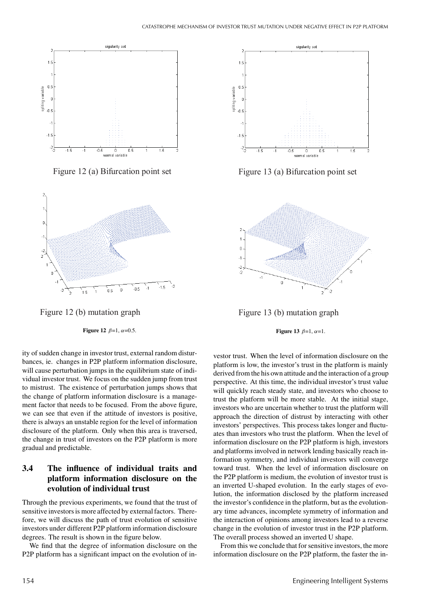

Figure 12 (a) Bifurcation point set



Figure 12 (b) mutation graph

**Figure 12**  $\beta$ =1,  $\alpha$ =0.5.

ity of sudden change in investor trust, external random disturbances, ie. changes in P2P platform information disclosure, will cause perturbation jumps in the equilibrium state of individual investor trust. We focus on the sudden jump from trust to mistrust. The existence of perturbation jumps shows that the change of platform information disclosure is a management factor that needs to be focused. From the above figure, we can see that even if the attitude of investors is positive, there is always an unstable region for the level of information disclosure of the platform. Only when this area is traversed, the change in trust of investors on the P2P platform is more gradual and predictable.

# **3.4 The influence of individual traits and platform information disclosure on the evolution of individual trust**

Through the previous experiments, we found that the trust of sensitive investors is more affected by external factors. Therefore, we will discuss the path of trust evolution of sensitive investors under different P2P platform information disclosure degrees. The result is shown in the figure below.

We find that the degree of information disclosure on the P2P platform has a significant impact on the evolution of in-



Figure 13 (a) Bifurcation point set



Figure 13 (b) mutation graph

**Figure 13**  $\beta=1$ ,  $\alpha=1$ .

vestor trust. When the level of information disclosure on the platform is low, the investor's trust in the platform is mainly derived from the his own attitude and the interaction of a group perspective. At this time, the individual investor's trust value will quickly reach steady state, and investors who choose to trust the platform will be more stable. At the initial stage, investors who are uncertain whether to trust the platform will approach the direction of distrust by interacting with other investors' perspectives. This process takes longer and fluctuates than investors who trust the platform. When the level of information disclosure on the P2P platform is high, investors and platforms involved in network lending basically reach information symmetry, and individual investors will converge toward trust. When the level of information disclosure on the P2P platform is medium, the evolution of investor trust is an inverted U-shaped evolution. In the early stages of evolution, the information disclosed by the platform increased the investor's confidence in the platform, but as the evolutionary time advances, incomplete symmetry of information and the interaction of opinions among investors lead to a reverse change in the evolution of investor trust in the P2P platform. The overall process showed an inverted U shape.

From this we conclude that for sensitive investors, the more information disclosure on the P2P platform, the faster the in-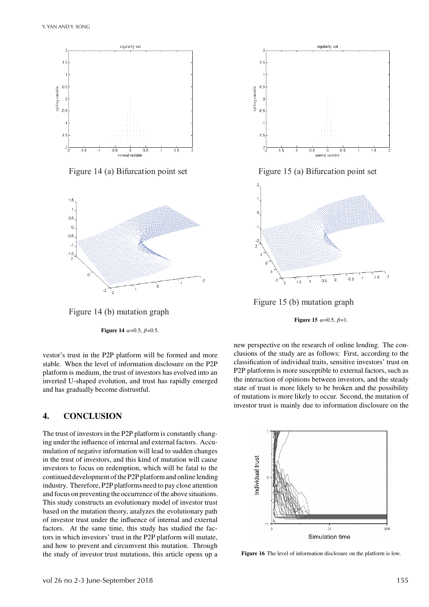

Figure 14 (a) Bifurcation point set



Figure 14 (b) mutation graph

**Figure 14**  $\alpha$ =0.5,  $\beta$ =0.5.

vestor's trust in the P2P platform will be formed and more stable. When the level of information disclosure on the P2P platform is medium, the trust of investors has evolved into an inverted U-shaped evolution, and trust has rapidly emerged and has gradually become distrustful.

## **4. CONCLUSION**

The trust of investors in the P2P platform is constantly changing under the influence of internal and external factors. Accumulation of negative information will lead to sudden changes in the trust of investors, and this kind of mutation will cause investors to focus on redemption, which will be fatal to the continued development of the P2P platform and online lending industry. Therefore, P2P platforms need to pay close attention and focus on preventing the occurrence of the above situations. This study constructs an evolutionary model of investor trust based on the mutation theory, analyzes the evolutionary path of investor trust under the influence of internal and external factors. At the same time, this study has studied the factors in which investors' trust in the P2P platform will mutate, and how to prevent and circumvent this mutation. Through the study of investor trust mutations, this article opens up a



Figure 15 (a) Bifurcation point set



Figure 15 (b) mutation graph

**Figure 15**  $\alpha$ =0.5,  $\beta$ =1.

new perspective on the research of online lending. The conclusions of the study are as follows: First, according to the classification of individual traits, sensitive investors' trust on P2P platforms is more susceptible to external factors, such as the interaction of opinions between investors, and the steady state of trust is more likely to be broken and the possibility of mutations is more likely to occur. Second, the mutation of investor trust is mainly due to information disclosure on the



**Figure 16** The level of information disclosure on the platform is low.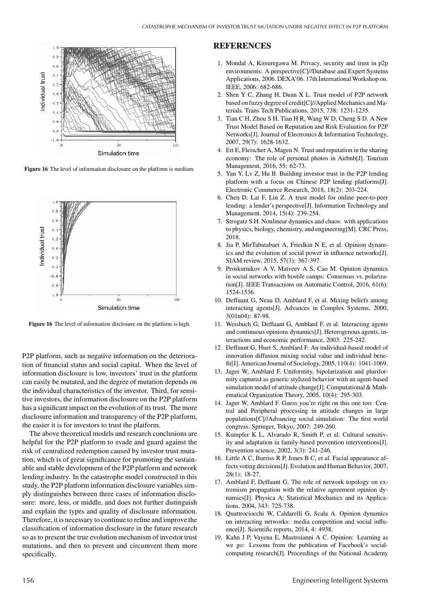

**Figure 16** The level of information disclosure on the platform is medium.



**Figure 16** The level of information disclosure on the platform is high.

P2P platform, such as negative information on the deterioration of financial status and social capital. When the level of information disclosure is low, investors' trust in the platform can easily be mutated, and the degree of mutation depends on the individual characteristics of the investor. Third, for sensitive investors, the information disclosure on the P2P platform has a significant impact on the evolution of its trust. The more disclosure information and transparency of the P2P platform, the easier it is for investors to trust the platform.

The above theoretical models and research conclusions are helpful for the P2P platform to evade and guard against the risk of centralized redemption caused by investor trust mutation, which is of great significance for promoting the sustainable and stable development of the P2P platform and network lending industry. In the catastrophe model constructed in this study, the P2P platform information disclosure variables simply distinguishes between three cases of information disclosure: more, less, or middle, and does not further distinguish and explain the types and quality of disclosure information. Therefore, it is necessary to continue to refine and improve the classification of information disclosure in the future research so as to present the true evolution mechanism of investor trust mutations, and then to prevent and circumvent them more specifically.

#### **REFERENCES**

- 1. Mondal A, Kitsuregawa M. Privacy, security and trust in p2p environments: A perspective[C]//Database and Expert Systems Applications, 2006. DEXA'06. 17th International Workshop on. IEEE, 2006: 682-686.
- 2. Shen Y C, Zhang H, Duan X L. Trust model of P2P network based on fuzzy degree of credit[C]//Applied Mechanics and Materials. Trans Tech Publications, 2015, 738: 1231-1235.
- 3. Tian C H, Zhou S H, Tian H R, Wang W D, Cheng S D. A New Trust Model Based on Reputation and Risk Evaluation for P2P Networks[J]. Journal of Electronics & Information Technology, 2007, 29(7): 1628-1632.
- 4. Ert E, Fleischer A, Magen N. Trust and reputation in the sharing economy: The role of personal photos in Airbnb[J]. Tourism Management, 2016, 55: 62-73.
- 5. Yan Y, Lv Z, Hu B. Building investor trust in the P2P lending platform with a focus on Chinese P2P lending platforms[J]. Electronic Commerce Research, 2018, 18(2): 203-224.
- 6. Chen D, Lai F, Lin Z. A trust model for online peer-to-peer lending: a lender's perspective[J]. Information Technology and Management, 2014, 15(4): 239-254.
- 7. Strogatz S H. Nonlinear dynamics and chaos: with applications to physics, biology, chemistry, and engineering[M]. CRC Press, 2018.
- 8. Jia P, MirTabatabaei A, Friedkin N E, et al. Opinion dynamics and the evolution of social power in influence networks[J]. SIAM review, 2015, 57(3): 367-397.
- 9. Proskurnikov A V, Matveev A S, Cao M. Opinion dynamics in social networks with hostile camps: Consensus vs. polarization[J]. IEEE Transactions on Automatic Control, 2016, 61(6): 1524-1536.
- 10. Deffuant G, Neau D, Amblard F, et al. Mixing beliefs among interacting agents[J]. Advances in Complex Systems, 2000, 3(01n04): 87-98.
- 11. Weisbuch G, Deffuant G, Amblard F, et al. Interacting agents and continuous opinions dynamics[J]. Heterogenous agents, interactions and economic performance, 2003: 225-242.
- 12. Deffuant G, Huet S, Amblard F. An individual-based model of innovation diffusion mixing social value and individual benefit[J]. American Journal of Sociology, 2005, 110(4): 1041-1069.
- 13. Jager W, Amblard F. Uniformity, bipolarization and pluriformity captured as generic stylized behavior with an agent-based simulation model of attitude change[J]. Computational & Mathematical Organization Theory, 2005, 10(4): 295-303.
- 14. Jager W, Amblard F. Guess you're right on this one too: Central and Peripheral processing in attitude changes in large populations[C]//Advancing social simulation: The first world congress. Springer, Tokyo, 2007: 249-260.
- 15. Kumpfer K L, Alvarado R, Smith P, et al. Cultural sensitivity and adaptation in family-based prevention interventions[J]. Prevention science, 2002, 3(3): 241-246.
- 16. Little A C, Burriss R P, Jones B C, et al. Facial appearance affects voting decisions[J]. Evolution and Human Behavior, 2007, 28(1): 18-27.
- 17. Amblard F, Deffuant G. The role of network topology on extremism propagation with the relative agreement opinion dynamics[J]. Physica A: Statistical Mechanics and its Applications, 2004, 343: 725-738.
- 18. Quattrociocchi W, Caldarelli G, Scala A. Opinion dynamics on interacting networks: media competition and social influence[J]. Scientific reports, 2014, 4: 4938.
- 19. Kahn J P, Vayena E, Mastroianni A C. Opinion: Learning as we go: Lessons from the publication of Facebook's socialcomputing research[J]. Proceedings of the National Academy